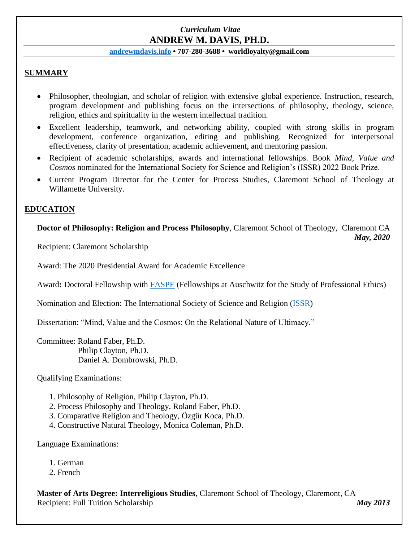# *Curriculum Vitae* **ANDREW M. DAVIS, PH.D.**

### **[andrewmdavis.info](https://www.andrewmdavis.info/) • 707-280-3688 • worldloyalty@gmail.com**

## **SUMMARY**

- Philosopher, theologian, and scholar of religion with extensive global experience. Instruction, research, program development and publishing focus on the intersections of philosophy, theology, science, religion, ethics and spirituality in the western intellectual tradition.
- Excellent leadership, teamwork, and networking ability, coupled with strong skills in program development, conference organization, editing and publishing. Recognized for interpersonal effectiveness, clarity of presentation, academic achievement, and mentoring passion.
- Recipient of academic scholarships, awards and international fellowships. Book *Mind, Value and Cosmos* nominated for the International Society for Science and Religion's (ISSR) 2022 Book Prize.
- Current Program Director for the Center for Process Studies, Claremont School of Theology at Willamette University.

## **EDUCATION**

**Doctor of Philosophy: Religion and Process Philosophy**, Claremont School of Theology, Claremont CA *May, 2020* 

Recipient: Claremont Scholarship

Award: The 2020 Presidential Award for Academic Excellence

Award**:** Doctoral Fellowship with [FASPE](https://www.faspe-ethics.org/) (Fellowships at Auschwitz for the Study of Professional Ethics)

Nomination and Election: The International Society of Science and Religion [\(ISSR\)](https://www.issr.org.uk/fellows/user/573/)

Dissertation: "Mind, Value and the Cosmos: On the Relational Nature of Ultimacy."

Committee: Roland Faber, Ph.D. Philip Clayton, Ph.D. Daniel A. Dombrowski, Ph.D.

Qualifying Examinations:

- 1. Philosophy of Religion, Philip Clayton, Ph.D.
- 2. Process Philosophy and Theology, Roland Faber, Ph.D.
- 3. Comparative Religion and Theology, Özgür Koca, Ph.D.
- 4. Constructive Natural Theology, Monica Coleman, Ph.D.

Language Examinations:

- 1. German
- 2. French

**Master of Arts Degree: Interreligious Studies**, Claremont School of Theology, Claremont, CA Recipient: Full Tuition Scholarship *May 2013*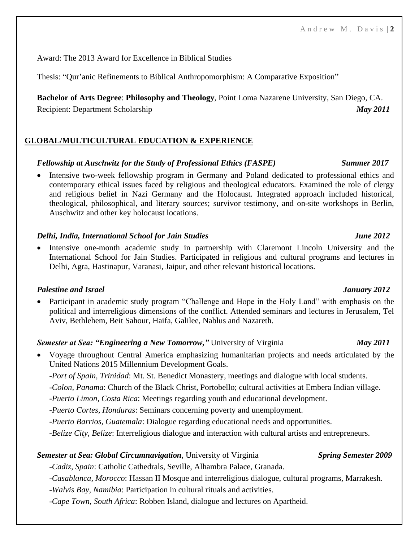Award: The 2013 Award for Excellence in Biblical Studies

Thesis: "Qur'anic Refinements to Biblical Anthropomorphism: A Comparative Exposition"

**Bachelor of Arts Degree**: **Philosophy and Theology**, Point Loma Nazarene University, San Diego, CA. Recipient: Department Scholarship *May 2011*

## **GLOBAL/MULTICULTURAL EDUCATION & EXPERIENCE**

### *Fellowship at Auschwitz for the Study of Professional Ethics (FASPE) Summer 2017*

• Intensive two-week fellowship program in Germany and Poland dedicated to professional ethics and contemporary ethical issues faced by religious and theological educators. Examined the role of clergy and religious belief in Nazi Germany and the Holocaust. Integrated approach included historical, theological, philosophical, and literary sources; survivor testimony, and on-site workshops in Berlin, Auschwitz and other key holocaust locations.

### *Delhi, India, International School for Jain Studies June 2012*

• Intensive one-month academic study in partnership with Claremont Lincoln University and the International School for Jain Studies. Participated in religious and cultural programs and lectures in Delhi, Agra, Hastinapur, Varanasi, Jaipur, and other relevant historical locations.

### *Palestine and Israel January 2012*

• Participant in academic study program "Challenge and Hope in the Holy Land" with emphasis on the political and interreligious dimensions of the conflict. Attended seminars and lectures in Jerusalem, Tel Aviv, Bethlehem, Beit Sahour, Haifa, Galilee, Nablus and Nazareth.

## *Semester at Sea: "Engineering a New Tomorrow,"* University of Virginia *May 2011*

- Voyage throughout Central America emphasizing humanitarian projects and needs articulated by the United Nations 2015 Millennium Development Goals.
	- -*Port of Spain, Trinidad*: Mt. St. Benedict Monastery, meetings and dialogue with local students.

-*Colon, Panama*: Church of the Black Christ, Portobello; cultural activities at Embera Indian village.

- -*Puerto Limon, Costa Rica*: Meetings regarding youth and educational development.
- -*Puerto Cortes, Honduras*: Seminars concerning poverty and unemployment.
- -*Puerto Barrios, Guatemala*: Dialogue regarding educational needs and opportunities.
- -*Belize City, Belize*: Interreligious dialogue and interaction with cultural artists and entrepreneurs.

### **Semester at Sea: Global Circumnavigation**, University of Virginia *Spring Semester 2009*

-*Cadiz, Spain*: Catholic Cathedrals, Seville, Alhambra Palace, Granada.

-*Casablanca, Morocco*: Hassan II Mosque and interreligious dialogue, cultural programs, Marrakesh.

- -*Walvis Bay, Namibia*: Participation in cultural rituals and activities.
- -*Cape Town, South Africa*: Robben Island, dialogue and lectures on Apartheid.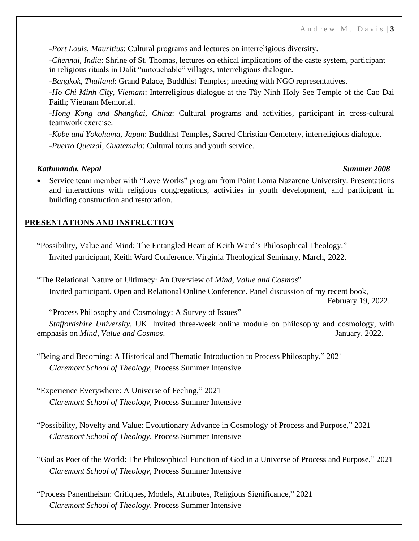-*Port Louis, Mauritius*: Cultural programs and lectures on interreligious diversity.

-*Chennai, India*: Shrine of St. Thomas, lectures on ethical implications of the caste system, participant in religious rituals in Dalit "untouchable" villages, interreligious dialogue.

-*Bangkok, Thailand*: Grand Palace, Buddhist Temples; meeting with NGO representatives.

-*Ho Chi Minh City, Vietnam*: Interreligious dialogue at the Tây Ninh Holy See Temple of the Cao Dai Faith; Vietnam Memorial.

-*Hong Kong and Shanghai, China*: Cultural programs and activities, participant in cross-cultural teamwork exercise.

-*Kobe and Yokohama, Japan*: Buddhist Temples, Sacred Christian Cemetery, interreligious dialogue.

-*Puerto Quetzal, Guatemala*: Cultural tours and youth service.

### *Kathmandu, Nepal Summer 2008*

• Service team member with "Love Works" program from Point Loma Nazarene University. Presentations and interactions with religious congregations, activities in youth development, and participant in building construction and restoration.

## **PRESENTATIONS AND INSTRUCTION**

"Possibility, Value and Mind: The Entangled Heart of Keith Ward's Philosophical Theology." Invited participant, Keith Ward Conference. Virginia Theological Seminary, March, 2022.

"The Relational Nature of Ultimacy: An Overview of *Mind, Value and Cosmos*" Invited participant. Open and Relational Online Conference. Panel discussion of my recent book, February 19, 2022.

"Process Philosophy and Cosmology: A Survey of Issues"

*Staffordshire University*, UK. Invited three-week online module on philosophy and cosmology, with emphasis on *Mind, Value and Cosmos*. January, 2022.

"Being and Becoming: A Historical and Thematic Introduction to Process Philosophy," 2021 *Claremont School of Theology*, Process Summer Intensive

"Experience Everywhere: A Universe of Feeling," 2021 *Claremont School of Theology*, Process Summer Intensive

"Possibility, Novelty and Value: Evolutionary Advance in Cosmology of Process and Purpose," 2021 *Claremont School of Theology*, Process Summer Intensive

"God as Poet of the World: The Philosophical Function of God in a Universe of Process and Purpose," 2021 *Claremont School of Theology*, Process Summer Intensive

"Process Panentheism: Critiques, Models, Attributes, Religious Significance," 2021 *Claremont School of Theology*, Process Summer Intensive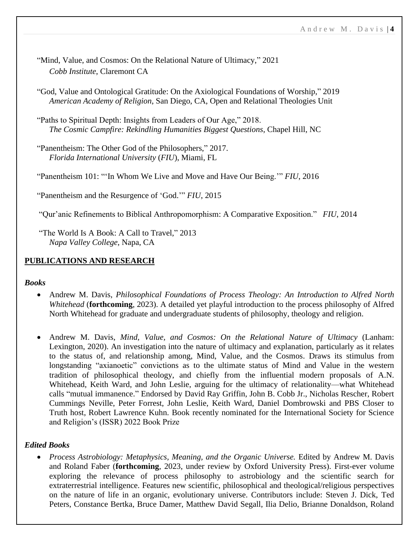- "Mind, Value, and Cosmos: On the Relational Nature of Ultimacy," 2021 *Cobb Institute*, Claremont CA
- "God, Value and Ontological Gratitude: On the Axiological Foundations of Worship," 2019 *American Academy of Religion*, San Diego, CA, Open and Relational Theologies Unit
- "Paths to Spiritual Depth: Insights from Leaders of Our Age," 2018. *The Cosmic Campfire: Rekindling Humanities Biggest Questions*, Chapel Hill, NC
- "Panentheism: The Other God of the Philosophers," 2017. *Florida International University* (*FIU*), Miami, FL

"Panentheism 101: "'In Whom We Live and Move and Have Our Being.'" *FIU*, 2016

"Panentheism and the Resurgence of 'God.'" *FIU*, 2015

"Qur'anic Refinements to Biblical Anthropomorphism: A Comparative Exposition." *FIU*, 2014

"The World Is A Book: A Call to Travel," 2013 *Napa Valley College*, Napa, CA

## **PUBLICATIONS AND RESEARCH**

### *Books*

- Andrew M. Davis, *Philosophical Foundations of Process Theology: An Introduction to Alfred North Whitehead* (**forthcoming**, 2023). A detailed yet playful introduction to the process philosophy of Alfred North Whitehead for graduate and undergraduate students of philosophy, theology and religion.
- Andrew M. Davis, *Mind, Value, and Cosmos: On the Relational Nature of Ultimacy* (Lanham: Lexington, 2020). An investigation into the nature of ultimacy and explanation, particularly as it relates to the status of, and relationship among, Mind, Value, and the Cosmos. Draws its stimulus from longstanding "axianoetic" convictions as to the ultimate status of Mind and Value in the western tradition of philosophical theology, and chiefly from the influential modern proposals of A.N. Whitehead, Keith Ward, and John Leslie, arguing for the ultimacy of relationality—what Whitehead calls "mutual immanence." Endorsed by David Ray Griffin, John B. Cobb Jr., Nicholas Rescher, Robert Cummings Neville, Peter Forrest, John Leslie, Keith Ward, Daniel Dombrowski and PBS Closer to Truth host, Robert Lawrence Kuhn. Book recently nominated for the International Society for Science and Religion's (ISSR) 2022 Book Prize

## *Edited Books*

• *Process Astrobiology: Metaphysics, Meaning, and the Organic Universe.* Edited by Andrew M. Davis and Roland Faber (**forthcoming**, 2023, under review by Oxford University Press). First-ever volume exploring the relevance of process philosophy to astrobiology and the scientific search for extraterrestrial intelligence. Features new scientific, philosophical and theological/religious perspectives on the nature of life in an organic, evolutionary universe. Contributors include: Steven J. Dick, Ted Peters, Constance Bertka, Bruce Damer, Matthew David Segall, Ilia Delio, Brianne Donaldson, Roland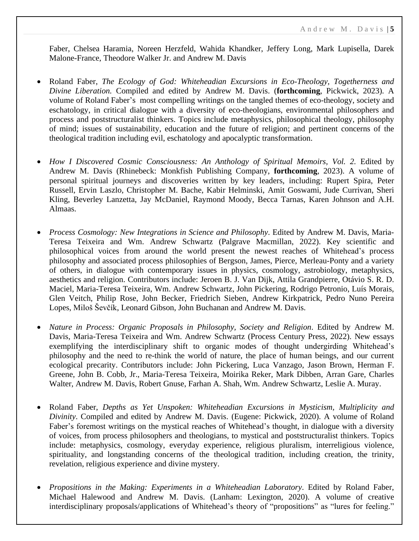Faber, Chelsea Haramia, Noreen Herzfeld, Wahida Khandker, Jeffery Long, Mark Lupisella, Darek Malone-France, Theodore Walker Jr. and Andrew M. Davis

- Roland Faber, *The Ecology of God: Whiteheadian Excursions in Eco-Theology, Togetherness and Divine Liberation.* Compiled and edited by Andrew M. Davis. (**forthcoming**, Pickwick, 2023). A volume of Roland Faber's most compelling writings on the tangled themes of eco-theology, society and eschatology, in critical dialogue with a diversity of eco-theologians, environmental philosophers and process and poststructuralist thinkers. Topics include metaphysics, philosophical theology, philosophy of mind; issues of sustainability, education and the future of religion; and pertinent concerns of the theological tradition including evil, eschatology and apocalyptic transformation.
- *How I Discovered Cosmic Consciousness: An Anthology of Spiritual Memoirs, Vol. 2.* Edited by Andrew M. Davis (Rhinebeck: Monkfish Publishing Company, **forthcoming**, 2023). A volume of personal spiritual journeys and discoveries written by key leaders, including: Rupert Spira, Peter Russell, Ervin Laszlo, Christopher M. Bache, Kabir Helminski, Amit Goswami, Jude Currivan, Sheri Kling, Beverley Lanzetta, Jay McDaniel, Raymond Moody, Becca Tarnas, Karen Johnson and A.H. Almaas.
- *Process Cosmology: New Integrations in Science and Philosophy*. Edited by Andrew M. Davis, Maria-Teresa Teixeira and Wm. Andrew Schwartz (Palgrave Macmillan, 2022). Key scientific and philosophical voices from around the world present the newest reaches of Whitehead's process philosophy and associated process philosophies of Bergson, James, Pierce, Merleau-Ponty and a variety of others, in dialogue with contemporary issues in physics, cosmology, astrobiology, metaphysics, aesthetics and religion. Contributors include: Jeroen B. J. Van Dijk, Attila Grandpierre, Otávio S. R. D. Maciel, Maria-Teresa Teixeira, Wm. Andrew Schwartz, John Pickering, Rodrigo Petronio, Luís Morais, Glen Veitch, Philip Rose, John Becker, Friedrich Sieben, Andrew Kirkpatrick, Pedro Nuno Pereira Lopes, Miloš Ševčík, Leonard Gibson, John Buchanan and Andrew M. Davis.
- *Nature in Process: Organic Proposals in Philosophy, Society and Religion*. Edited by Andrew M. Davis, Maria-Teresa Teixeira and Wm. Andrew Schwartz (Process Century Press, 2022). New essays exemplifying the interdisciplinary shift to organic modes of thought undergirding Whitehead's philosophy and the need to re-think the world of nature, the place of human beings, and our current ecological precarity. Contributors include: John Pickering, Luca Vanzago, Jason Brown, Herman F. Greene, John B. Cobb, Jr., Maria-Teresa Teixeira, Moirika Reker, Mark Dibben, Arran Gare, Charles Walter, Andrew M. Davis, Robert Gnuse, Farhan A. Shah, Wm. Andrew Schwartz, Leslie A. Muray.
- Roland Faber, *Depths as Yet Unspoken: Whiteheadian Excursions in Mysticism, Multiplicity and Divinity*. Compiled and edited by Andrew M. Davis. (Eugene: Pickwick, 2020). A volume of Roland Faber's foremost writings on the mystical reaches of Whitehead's thought, in dialogue with a diversity of voices, from process philosophers and theologians, to mystical and poststructuralist thinkers. Topics include: metaphysics, cosmology, everyday experience, religious pluralism, interreligious violence, spirituality, and longstanding concerns of the theological tradition, including creation, the trinity, revelation, religious experience and divine mystery.
- *Propositions in the Making: Experiments in a Whiteheadian Laboratory*. Edited by Roland Faber, Michael Halewood and Andrew M. Davis. (Lanham: Lexington, 2020). A volume of creative interdisciplinary proposals/applications of Whitehead's theory of "propositions" as "lures for feeling."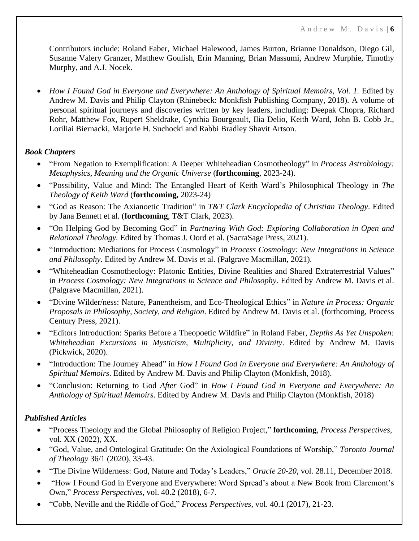Contributors include: Roland Faber, Michael Halewood, James Burton, Brianne Donaldson, Diego Gil, Susanne Valery Granzer, Matthew Goulish, Erin Manning, Brian Massumi, Andrew Murphie, Timothy Murphy, and A.J. Nocek.

• *How I Found God in Everyone and Everywhere: An Anthology of Spiritual Memoirs*, *Vol. 1.* Edited by Andrew M. Davis and Philip Clayton (Rhinebeck: Monkfish Publishing Company, 2018). A volume of personal spiritual journeys and discoveries written by key leaders, including: Deepak Chopra, Richard Rohr, Matthew Fox, Rupert Sheldrake, Cynthia Bourgeault, Ilia Delio, Keith Ward, John B. Cobb Jr., Loriliai Biernacki, Marjorie H. Suchocki and Rabbi Bradley Shavit Artson.

## *Book Chapters*

- "From Negation to Exemplification: A Deeper Whiteheadian Cosmotheology" in *Process Astrobiology: Metaphysics, Meaning and the Organic Universe* (**forthcoming**, 2023-24).
- "Possibility, Value and Mind: The Entangled Heart of Keith Ward's Philosophical Theology in *The Theology of Keith Ward* (**forthcoming,** 2023-24)
- "God as Reason: The Axianoetic Tradition" in *T&T Clark Encyclopedia of Christian Theology*. Edited by Jana Bennett et al. (**forthcoming**, T&T Clark, 2023).
- "On Helping God by Becoming God" in *Partnering With God: Exploring Collaboration in Open and Relational Theology.* Edited by Thomas J. Oord et al. (SacraSage Press, 2021).
- "Introduction: Mediations for Process Cosmology" in *Process Cosmology: New Integrations in Science and Philosophy*. Edited by Andrew M. Davis et al. (Palgrave Macmillan, 2021).
- "Whiteheadian Cosmotheology: Platonic Entities, Divine Realities and Shared Extraterrestrial Values" in *Process Cosmology: New Integrations in Science and Philosophy*. Edited by Andrew M. Davis et al. (Palgrave Macmillan, 2021).
- "Divine Wilder/ness: Nature, Panentheism, and Eco-Theological Ethics" in *Nature in Process: Organic Proposals in Philosophy, Society, and Religion*. Edited by Andrew M. Davis et al. (forthcoming, Process Century Press, 2021).
- "Editors Introduction: Sparks Before a Theopoetic Wildfire" in Roland Faber, *Depths As Yet Unspoken: Whiteheadian Excursions in Mysticism, Multiplicity, and Divinity*. Edited by Andrew M. Davis (Pickwick, 2020).
- "Introduction: The Journey Ahead" in *How I Found God in Everyone and Everywhere: An Anthology of Spiritual Memoirs*. Edited by Andrew M. Davis and Philip Clayton (Monkfish, 2018).
- "Conclusion: Returning to God *After* God" in *How I Found God in Everyone and Everywhere: An Anthology of Spiritual Memoirs*. Edited by Andrew M. Davis and Philip Clayton (Monkfish, 2018)

## *Published Articles*

- "Process Theology and the Global Philosophy of Religion Project," **forthcoming**, *Process Perspectives*, vol. XX (2022), XX.
- "God, Value, and Ontological Gratitude: On the Axiological Foundations of Worship," *Toronto Journal of Theology* 36/1 (2020), 33-43.
- "The Divine Wilderness: God, Nature and Today's Leaders," *Oracle 20-20*, vol. 28.11, December 2018.
- "How I Found God in Everyone and Everywhere: Word Spread's about a New Book from Claremont's Own," *Process Perspectives*, vol. 40.2 (2018), 6-7.
- "Cobb, Neville and the Riddle of God," *Process Perspectives*, vol. 40.1 (2017), 21-23.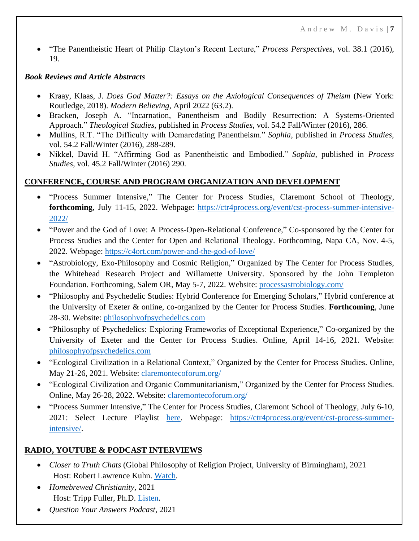• "The Panentheistic Heart of Philip Clayton's Recent Lecture," *Process Perspectives*, vol. 38.1 (2016), 19.

## *Book Reviews and Article Abstracts*

- Kraay, Klaas, J. *Does God Matter?: Essays on the Axiological Consequences of Theism* (New York: Routledge, 2018). *Modern Believing*, April 2022 (63.2).
- Bracken, Joseph A. "Incarnation, Panentheism and Bodily Resurrection: A Systems-Oriented Approach." *Theological Studies*, published in *Process Studies*, vol. 54.2 Fall/Winter (2016), 286.
- Mullins, R.T. "The Difficulty with Demarcdating Panentheism." *Sophia*, published in *Process Studies*, vol. 54.2 Fall/Winter (2016), 288-289.
- Nikkel, David H. "Affirming God as Panentheistic and Embodied." *Sophia*, published in *Process Studies*, vol. 45.2 Fall/Winter (2016) 290.

## **CONFERENCE, COURSE AND PROGRAM ORGANIZATION AND DEVELOPMENT**

- "Process Summer Intensive," The Center for Process Studies, Claremont School of Theology, **forthcoming**, July 11-15, 2022. Webpage: [https://ctr4process.org/event/cst-process-summer-intensive-](https://ctr4process.org/event/cst-process-summer-intensive-2022/)[2022/](https://ctr4process.org/event/cst-process-summer-intensive-2022/)
- "Power and the God of Love: A Process-Open-Relational Conference," Co-sponsored by the Center for Process Studies and the Center for Open and Relational Theology. Forthcoming, Napa CA, Nov. 4-5, 2022. Webpage:<https://c4ort.com/power-and-the-god-of-love/>
- "Astrobiology, Exo-Philosophy and Cosmic Religion," Organized by The Center for Process Studies, the Whitehead Research Project and Willamette University. Sponsored by the John Templeton Foundation. Forthcoming, Salem OR, May 5-7, 2022. Website: [processastrobiology.com/](https://www.processastrobiology.com/)
- "Philosophy and Psychedelic Studies: Hybrid Conference for Emerging Scholars," Hybrid conference at the University of Exeter & online, co-organized by the Center for Process Studies. **Forthcoming**, June 28-30. Website: [philosophyofpsychedelics.com](https://philosophyofpsychedelics.com/)
- "Philosophy of Psychedelics: Exploring Frameworks of Exceptional Experience," Co-organized by the University of Exeter and the Center for Process Studies. Online, April 14-16, 2021. Website: [philosophyofpsychedelics.com](https://philosophyofpsychedelics.com/)
- "Ecological Civilization in a Relational Context," Organized by the Center for Process Studies. Online, May 21-26, 2021. Website: [claremontecoforum.org/](https://claremontecoforum.org/)
- "Ecological Civilization and Organic Communitarianism," Organized by the Center for Process Studies. Online, May 26-28, 2022. Website: [claremontecoforum.org/](https://claremontecoforum.org/)
- "Process Summer Intensive," The Center for Process Studies, Claremont School of Theology, July 6-10, 2021: Select Lecture Playlist [here.](https://www.youtube.com/channel/UCaMt1JdJL6ewu9vOxTiSWYg/playlists) Webpage: [https://ctr4process.org/event/cst-process-summer](https://ctr4process.org/event/cst-process-summer-intensive/)[intensive/.](https://ctr4process.org/event/cst-process-summer-intensive/)

## **RADIO, YOUTUBE & PODCAST INTERVIEWS**

- *Closer to Truth Chats* (Global Philosophy of Religion Project, University of Birmingham), 2021 Host: Robert Lawrence Kuhn. [Watch.](https://www.youtube.com/watch?v=r43Bl2yrRgs&t=1771s)
- *Homebrewed Christianity*, 2021 Host: Tripp Fuller, Ph.D. [Listen.](https://podcasts.apple.com/ca/podcast/andrew-davis-mind-value-and-cosmos/id276269040?i=1000532985842)
- *Question Your Answers Podcast*, 2021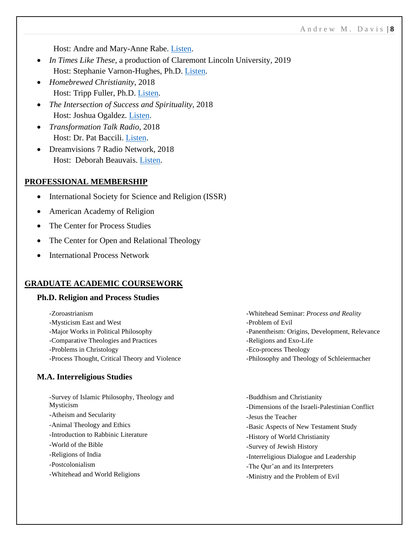Host: Andre and Mary-Anne Rabe. [Listen.](https://podcasts.apple.com/us/podcast/mind-value-and-cosmos-with-andrew-davis/id1533456126?i=1000510990167)

- *In Times Like These*, a production of Claremont Lincoln University, 2019 Host: Stephanie Varnon-Hughes, Ph.D. [Listen.](https://podcasts.apple.com/us/podcast/ep-29-god-is-everyone-everywhere-with-andrew-davis/id1332076490?i=1000436936912)
- *Homebrewed Christianity*, 2018 Host: Tripp Fuller, Ph.D. [Listen.](https://trippfuller.com/2018/08/30/finding-god-in-everyone-and-everywhere-w-philip-clayton-and-andrew-davis/)
- *The Intersection of Success and Spirituality*, 2018 Host: Joshua Ogaldez. [Listen.](https://www.listennotes.com/da/podcasts/the-intersection/116-andrew-m-davis-doubting-LViS135cErv/)
- *Transformation Talk Radio*, 2018 Host: Dr. Pat Baccili. [Listen.](https://www.transformationtalkradio.com/guest/andrew-m-davis,5335.html)
- Dreamvisions 7 Radio Network, 2018 Host: Deborah Beauvais. [Listen.](https://dreamvisions7radio.com/andrew-m-davis-philip-clayton/)

#### **PROFESSIONAL MEMBERSHIP**

- International Society for Science and Religion (ISSR)
- American Academy of Religion
- The Center for Process Studies
- The Center for Open and Relational Theology
- International Process Network

#### **GRADUATE ACADEMIC COURSEWORK**

### **Ph.D. Religion and Process Studies**

| -Zoroastrianism                                | -Whitehead Seminar: Process and Reality       |
|------------------------------------------------|-----------------------------------------------|
| -Mysticism East and West                       | -Problem of Evil                              |
| -Major Works in Political Philosophy           | -Panentheism: Origins, Development, Relevance |
| -Comparative Theologies and Practices          | -Religions and Exo-Life                       |
| -Problems in Christology                       | -Eco-process Theology                         |
| -Process Thought, Critical Theory and Violence | -Philosophy and Theology of Schleiermacher    |

#### **M.A. Interreligious Studies**

| -Survey of Islamic Philosophy, Theology and | -Buddhism and Christianity                      |
|---------------------------------------------|-------------------------------------------------|
| Mysticism                                   | -Dimensions of the Israeli-Palestinian Conflict |
| -Atheism and Secularity                     | -Jesus the Teacher                              |
| -Animal Theology and Ethics                 | -Basic Aspects of New Testament Study           |
| -Introduction to Rabbinic Literature        | -History of World Christianity                  |
| -World of the Bible                         | -Survey of Jewish History                       |
| -Religions of India                         | -Interreligious Dialogue and Leadership         |
| -Postcolonialism                            | -The Our'an and its Interpreters                |
| -Whitehead and World Religions              | -Ministry and the Problem of Evil               |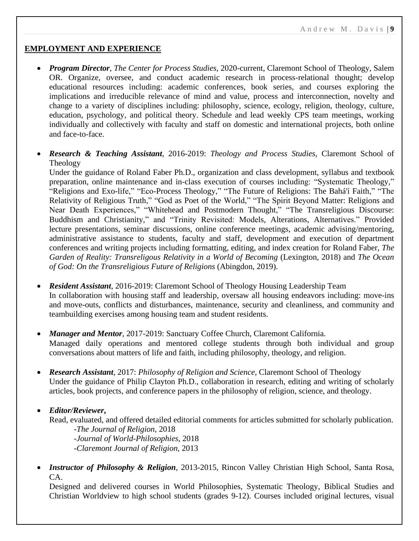### **EMPLOYMENT AND EXPERIENCE**

- *Program Director, The Center for Process Studies, 2020-current, Claremont School of Theology, Salem* OR. Organize, oversee, and conduct academic research in process-relational thought; develop educational resources including: academic conferences, book series, and courses exploring the implications and irreducible relevance of mind and value, process and interconnection, novelty and change to a variety of disciplines including: philosophy, science, ecology, religion, theology, culture, education, psychology, and political theory. Schedule and lead weekly CPS team meetings, working individually and collectively with faculty and staff on domestic and international projects, both online and face-to-face.
- *Research & Teaching Assistant*, 2016-2019: *Theology and Process Studies*, Claremont School of Theology

Under the guidance of Roland Faber Ph.D., organization and class development, syllabus and textbook preparation, online maintenance and in-class execution of courses including: "Systematic Theology," "Religions and Exo-life," "Eco-Process Theology," "The Future of Religions: The Bahá'í Faith," "The Relativity of Religious Truth," "God as Poet of the World," "The Spirit Beyond Matter: Religions and Near Death Experiences," "Whitehead and Postmodern Thought," "The Transreligious Discourse: Buddhism and Christianity," and "Trinity Revisited: Models, Alterations, Alternatives." Provided lecture presentations, seminar discussions, online conference meetings, academic advising/mentoring, administrative assistance to students, faculty and staff, development and execution of department conferences and writing projects including formatting, editing, and index creation for Roland Faber, *The Garden of Reality: Transreligous Relativity in a World of Becoming* (Lexington, 2018) and *The Ocean of God: On the Transreligious Future of Religions* (Abingdon, 2019).

- *Resident Assistant*, 2016-2019: Claremont School of Theology Housing Leadership Team In collaboration with housing staff and leadership, oversaw all housing endeavors including: move-ins and move-outs, conflicts and disturbances, maintenance, security and cleanliness, and community and teambuilding exercises among housing team and student residents.
- *Manager and Mentor*, 2017-2019: Sanctuary Coffee Church, Claremont California. Managed daily operations and mentored college students through both individual and group conversations about matters of life and faith, including philosophy, theology, and religion.
- *Research Assistant*, 2017: *Philosophy of Religion and Science*, Claremont School of Theology Under the guidance of Philip Clayton Ph.D., collaboration in research, editing and writing of scholarly articles, book projects, and conference papers in the philosophy of religion, science, and theology.
- *Editor/Reviewer***,**

Read, evaluated, and offered detailed editorial comments for articles submitted for scholarly publication. *-The Journal of Religion*, 2018 *-Journal of World-Philosophies*, 2018

-*Claremont Journal of Religion*, 2013

• *Instructor of Philosophy & Religion*, 2013-2015, Rincon Valley Christian High School, Santa Rosa, CA.

Designed and delivered courses in World Philosophies, Systematic Theology, Biblical Studies and Christian Worldview to high school students (grades 9-12). Courses included original lectures, visual